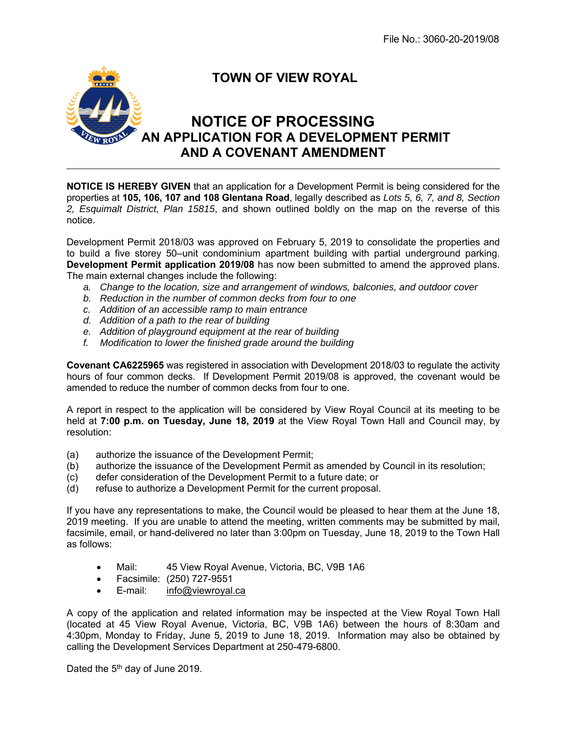

## **TOWN OF VIEW ROYAL**

## **NOTICE OF PROCESSING AN APPLICATION FOR A DEVELOPMENT PERMIT AND A COVENANT AMENDMENT**

**NOTICE IS HEREBY GIVEN** that an application for a Development Permit is being considered for the properties at **105, 106, 107 and 108 Glentana Road**, legally described as *Lots 5, 6, 7, and 8, Section 2, Esquimalt District, Plan 15815*, and shown outlined boldly on the map on the reverse of this notice.

Development Permit 2018/03 was approved on February 5, 2019 to consolidate the properties and to build a five storey 50–unit condominium apartment building with partial underground parking. **Development Permit application 2019/08** has now been submitted to amend the approved plans. The main external changes include the following:

- *a. Change to the location, size and arrangement of windows, balconies, and outdoor cover*
- *b. Reduction in the number of common decks from four to one*
- *c. Addition of an accessible ramp to main entrance*
- *d. Addition of a path to the rear of building*
- *e. Addition of playground equipment at the rear of building*
- *f. Modification to lower the finished grade around the building*

**Covenant CA6225965** was registered in association with Development 2018/03 to regulate the activity hours of four common decks. If Development Permit 2019/08 is approved, the covenant would be amended to reduce the number of common decks from four to one.

A report in respect to the application will be considered by View Royal Council at its meeting to be held at **7:00 p.m. on Tuesday, June 18, 2019** at the View Royal Town Hall and Council may, by resolution:

- (a) authorize the issuance of the Development Permit;
- (b) authorize the issuance of the Development Permit as amended by Council in its resolution;
- (c) defer consideration of the Development Permit to a future date; or
- (d) refuse to authorize a Development Permit for the current proposal.

If you have any representations to make, the Council would be pleased to hear them at the June 18, 2019 meeting. If you are unable to attend the meeting, written comments may be submitted by mail, facsimile, email, or hand-delivered no later than 3:00pm on Tuesday, June 18, 2019 to the Town Hall as follows:

- Mail: 45 View Royal Avenue, Victoria, BC, V9B 1A6
- Facsimile: (250) 727-9551
- E-mail: info@viewroyal.ca

A copy of the application and related information may be inspected at the View Royal Town Hall (located at 45 View Royal Avenue, Victoria, BC, V9B 1A6) between the hours of 8:30am and 4:30pm, Monday to Friday, June 5, 2019 to June 18, 2019. Information may also be obtained by calling the Development Services Department at 250-479-6800.

Dated the 5<sup>th</sup> day of June 2019.